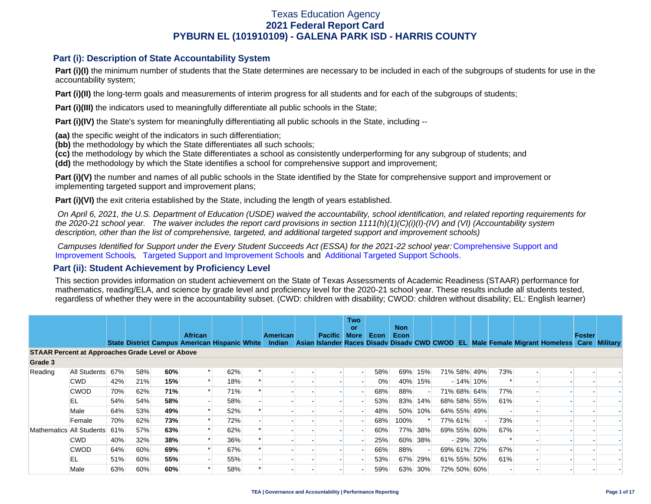### **Part (i): Description of State Accountability System**

Part (i)(I) the minimum number of students that the State determines are necessary to be included in each of the subgroups of students for use in the accountability system;

**Part (i)(II)** the long-term goals and measurements of interim progress for all students and for each of the subgroups of students;

**Part (i)(III)** the indicators used to meaningfully differentiate all public schools in the State;

**Part (i)(IV)** the State's system for meaningfully differentiating all public schools in the State, including --

**(aa)** the specific weight of the indicators in such differentiation;

**(bb)** the methodology by which the State differentiates all such schools;

**(cc)** the methodology by which the State differentiates a school as consistently underperforming for any subgroup of students; and

**(dd)** the methodology by which the State identifies a school for comprehensive support and improvement;

**Part (i)(V)** the number and names of all public schools in the State identified by the State for comprehensive support and improvement or implementing targeted support and improvement plans;

**Part (i)(VI)** the exit criteria established by the State, including the length of years established.

 *On April 6, 2021, the U.S. Department of Education (USDE) waived the accountability, school identification, and related reporting requirements for the 2020-21 school year. The waiver includes the report card provisions in section 1111(h)(1)(C)(i)(I)-(IV) and (VI) (Accountability system description, other than the list of comprehensive, targeted, and additional targeted support and improvement schools)* 

*Campuses Identified for Support under the Every Student Succeeds Act (ESSA) for the 2021-22 school year:* [Comprehensive Support and](https://tea.texas.gov/sites/default/files/comprehensive_support_2021.xlsx) [Improvement Schools](https://tea.texas.gov/sites/default/files/comprehensive_support_2021.xlsx), [Targeted Support and Improvement Schools](https://tea.texas.gov/sites/default/files/targeted_support_2021.xlsx) and [Additional Targeted Support Schools.](https://tea.texas.gov/sites/default/files/additional_targeted_support_2021.xlsx)

### **Part (ii): Student Achievement by Proficiency Level**

This section provides information on student achievement on the State of Texas Assessments of Academic Readiness (STAAR) performance for mathematics, reading/ELA, and science by grade level and proficiency level for the 2020-21 school year. These results include all students tested, regardless of whether they were in the accountability subset. (CWD: children with disability; CWOD: children without disability; EL: English learner)

|                                                         |              |     |     |     | <b>African</b> |     | <b>American</b> | <b>Pacific</b> | <b>Two</b><br>or<br>More | Econ  | <b>Non</b><br>Econ |         |         |             |     |                                                                                                                                                | Foster |  |
|---------------------------------------------------------|--------------|-----|-----|-----|----------------|-----|-----------------|----------------|--------------------------|-------|--------------------|---------|---------|-------------|-----|------------------------------------------------------------------------------------------------------------------------------------------------|--------|--|
|                                                         |              |     |     |     |                |     |                 |                |                          |       |                    |         |         |             |     | State District Campus American Hispanic White Indian Asian Islander Races Disady Disady CWD CWOD EL Male Female Migrant Homeless Care Military |        |  |
| <b>STAAR Percent at Approaches Grade Level or Above</b> |              |     |     |     |                |     |                 |                |                          |       |                    |         |         |             |     |                                                                                                                                                |        |  |
| Grade 3                                                 |              |     |     |     |                |     |                 |                |                          |       |                    |         |         |             |     |                                                                                                                                                |        |  |
| Reading                                                 | All Students | 67% | 58% | 60% |                | 62% |                 |                |                          | 58%   | 69%                | 15%     |         | 71% 58% 49% | 73% |                                                                                                                                                |        |  |
|                                                         | <b>CWD</b>   | 42% | 21% | 15% |                | 18% |                 |                |                          | $0\%$ |                    | 40% 15% |         | $-14\%$ 10% |     |                                                                                                                                                |        |  |
|                                                         | <b>CWOD</b>  | 70% | 62% | 71% |                | 71% |                 |                |                          | 68%   | 88%                |         |         | 71% 68% 64% | 77% |                                                                                                                                                |        |  |
|                                                         | EL           | 54% | 54% | 58% |                | 58% |                 |                |                          | 53%   | 83%                | 14%     |         | 68% 58% 55% | 61% |                                                                                                                                                |        |  |
|                                                         | Male         | 64% | 53% | 49% |                | 52% |                 |                |                          | 48%   | 50%                | 10%     |         | 64% 55% 49% |     |                                                                                                                                                |        |  |
|                                                         | Female       | 70% | 62% | 73% |                | 72% |                 |                |                          | 68%   | 100%               |         | 77% 61% |             | 73% |                                                                                                                                                |        |  |
| Mathematics All Students                                |              | 61% | 57% | 63% |                | 62% |                 |                |                          | 60%   | 77%                | 38%     |         | 69% 55% 60% | 67% |                                                                                                                                                |        |  |
|                                                         | <b>CWD</b>   | 40% | 32% | 38% |                | 36% |                 |                |                          | 25%   | 60%                | 38%     |         | $-29\%$ 30% | ∗   |                                                                                                                                                |        |  |
|                                                         | <b>CWOD</b>  | 64% | 60% | 69% |                | 67% |                 |                |                          | 66%   | 88%                |         |         | 69% 61% 72% | 67% |                                                                                                                                                |        |  |
|                                                         | EL           | 51% | 60% | 55% |                | 55% |                 |                |                          | 53%   | 67%                | 29%     |         | 61% 55% 50% | 61% |                                                                                                                                                |        |  |
|                                                         | Male         | 63% | 60% | 60% |                | 58% |                 |                |                          | 59%   | 63%                | 30%     |         | 72% 50% 60% |     |                                                                                                                                                |        |  |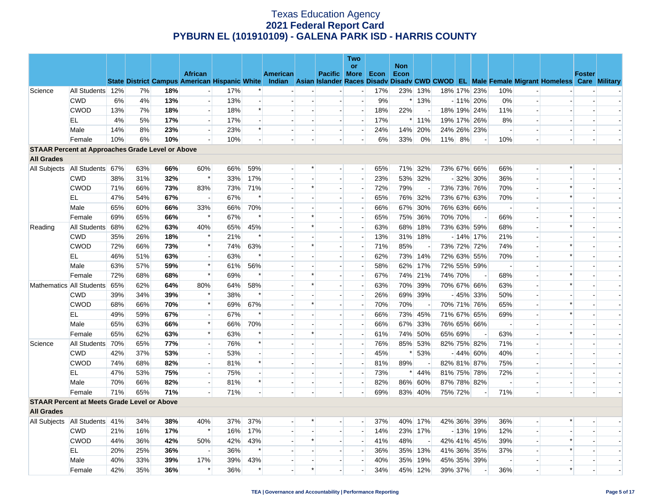|                                                         |                  |     |     |     |                          |     |        |          |                          |                          | <b>Two</b>               |     |                    |                          |        |         |             |                          |                          |                                                                                                                                                |               |  |
|---------------------------------------------------------|------------------|-----|-----|-----|--------------------------|-----|--------|----------|--------------------------|--------------------------|--------------------------|-----|--------------------|--------------------------|--------|---------|-------------|--------------------------|--------------------------|------------------------------------------------------------------------------------------------------------------------------------------------|---------------|--|
|                                                         |                  |     |     |     | <b>African</b>           |     |        | American |                          | Pacific   More   Econ    | <b>or</b>                |     | <b>Non</b><br>Econ |                          |        |         |             |                          |                          |                                                                                                                                                | <b>Foster</b> |  |
|                                                         |                  |     |     |     |                          |     |        |          |                          |                          |                          |     |                    |                          |        |         |             |                          |                          | State District Campus American Hispanic White Indian Asian Islander Races Disady Disady CWD CWOD EL Male Female Migrant Homeless Care Military |               |  |
| Science                                                 | All Students 12% |     | 7%  | 18% |                          | 17% |        |          |                          |                          |                          | 17% |                    | 23% 13%                  |        |         | 18% 17% 23% | 10%                      |                          |                                                                                                                                                |               |  |
|                                                         | <b>CWD</b>       | 6%  | 4%  | 13% | $\overline{\phantom{a}}$ | 13% |        |          |                          | $\overline{a}$           | $\sim$                   | 9%  |                    | $*13%$                   |        |         | $-11\%$ 20% | 0%                       | $\overline{a}$           |                                                                                                                                                |               |  |
|                                                         | <b>CWOD</b>      | 13% | 7%  | 18% | $\overline{a}$           | 18% | $\ast$ |          |                          | $\overline{\phantom{a}}$ | $\overline{\phantom{a}}$ | 18% | 22%                |                          |        |         | 18% 19% 24% | 11%                      | $\overline{\phantom{a}}$ |                                                                                                                                                |               |  |
|                                                         | EL               | 4%  | 5%  | 17% | $\sim$                   | 17% |        |          | $\overline{\phantom{a}}$ | $\sim$                   | $\overline{\phantom{a}}$ | 17% |                    | 11%                      |        |         | 19% 17% 26% | 8%                       |                          |                                                                                                                                                |               |  |
|                                                         | Male             | 14% | 8%  | 23% |                          | 23% | $\ast$ |          | $\overline{\phantom{a}}$ |                          | $\blacksquare$           | 24% |                    | 14% 20%                  |        |         | 24% 26% 23% | $\overline{\phantom{a}}$ |                          |                                                                                                                                                |               |  |
|                                                         | Female           | 10% | 6%  | 10% |                          | 10% |        |          | $\overline{a}$           | $\overline{\phantom{a}}$ | $\overline{a}$           | 6%  | 33%                | 0%                       | 11% 8% |         |             | 10%                      | $\overline{a}$           |                                                                                                                                                |               |  |
| <b>STAAR Percent at Approaches Grade Level or Above</b> |                  |     |     |     |                          |     |        |          |                          |                          |                          |     |                    |                          |        |         |             |                          |                          |                                                                                                                                                |               |  |
| <b>All Grades</b>                                       |                  |     |     |     |                          |     |        |          |                          |                          |                          |     |                    |                          |        |         |             |                          |                          |                                                                                                                                                |               |  |
| All Subjects   All Students 67%                         |                  |     | 63% | 66% | 60%                      | 66% | 59%    |          | $\ast$                   |                          | $\overline{\phantom{a}}$ | 65% | 71%                | 32%                      |        |         | 73% 67% 66% | 66%                      |                          | $\ast$                                                                                                                                         |               |  |
|                                                         | <b>CWD</b>       | 38% | 31% | 32% | $\ast$                   | 33% | 17%    |          |                          | $\sim$                   | $\blacksquare$           | 23% |                    | 53% 32%                  |        |         | $-32\%$ 30% | 36%                      | $\blacksquare$           |                                                                                                                                                |               |  |
|                                                         | <b>CWOD</b>      | 71% | 66% | 73% | 83%                      | 73% | 71%    |          | $\ast$                   | $\sim$                   | $\overline{\phantom{a}}$ | 72% | 79%                | $\sim$                   |        |         | 73% 73% 76% | 70%                      | $\mathbf{u}$             | $\ast$                                                                                                                                         |               |  |
|                                                         | EL               | 47% | 54% | 67% | $\overline{\phantom{a}}$ | 67% |        |          |                          | $\sim$                   | $\overline{\phantom{a}}$ | 65% |                    | 76% 32%                  |        |         | 73% 67% 63% | 70%                      |                          |                                                                                                                                                |               |  |
|                                                         | Male             | 65% | 60% | 66% | 33%                      | 66% | 70%    |          | $\overline{a}$           | $\sim$                   | $\sim$                   | 66% |                    | 67% 30%                  |        |         | 76% 63% 66% | $\sim$                   |                          |                                                                                                                                                |               |  |
|                                                         | Female           | 69% | 65% | 66% | $\ast$                   | 67% | $\ast$ |          | $\ast$                   | $\overline{a}$           | $\overline{\phantom{a}}$ | 65% |                    | 75% 36%                  |        | 70% 70% |             | 66%                      |                          |                                                                                                                                                |               |  |
| Reading                                                 | All Students 68% |     | 62% | 63% | 40%                      | 65% | 45%    |          | $\ast$                   | $\blacksquare$           | $\sim$                   | 63% | 68%                | 18%                      |        |         | 73% 63% 59% | 68%                      | $\blacksquare$           |                                                                                                                                                |               |  |
|                                                         | <b>CWD</b>       | 35% | 26% | 18% | $\ast$                   | 21% | $\ast$ |          |                          |                          | $\sim$                   | 13% |                    | 31% 18%                  |        |         | $-14\%$ 17% | 21%                      |                          |                                                                                                                                                |               |  |
|                                                         | <b>CWOD</b>      | 72% | 66% | 73% | $\ast$                   | 74% | 63%    |          | $\ast$                   | $\overline{\phantom{a}}$ | $\overline{\phantom{a}}$ | 71% | 85%                |                          |        |         | 73% 72% 72% | 74%                      | $\blacksquare$           |                                                                                                                                                |               |  |
|                                                         | ΕL               | 46% | 51% | 63% | $\sim$                   | 63% | $\ast$ |          | $\sim$                   | $\overline{\phantom{a}}$ | $\overline{\phantom{a}}$ | 62% | 73%                | 14%                      |        |         | 72% 63% 55% | 70%                      | $\overline{a}$           |                                                                                                                                                |               |  |
|                                                         | Male             | 63% | 57% | 59% | $\ast$                   | 61% | 56%    |          |                          | $\overline{\phantom{a}}$ | $\overline{\phantom{a}}$ | 58% | 62%                | 17%                      |        |         | 72% 55% 59% | $\overline{\phantom{a}}$ | $\overline{\phantom{a}}$ |                                                                                                                                                |               |  |
|                                                         | Female           | 72% | 68% | 68% | $\ast$                   | 69% |        |          | $\ast$                   | $\overline{a}$           | $\overline{a}$           | 67% |                    | 74% 21%                  |        | 74% 70% |             | 68%                      | ٠L                       | $\ast$                                                                                                                                         |               |  |
| Mathematics All Students 65%                            |                  |     | 62% | 64% | 80%                      | 64% | 58%    |          | $\ast$                   | $\sim$                   | $\blacksquare$           | 63% |                    | 70% 39%                  |        |         | 70% 67% 66% | 63%                      |                          | $\ast$                                                                                                                                         |               |  |
|                                                         | CWD              | 39% | 34% | 39% | $\ast$                   | 38% | $\ast$ |          | $\sim$                   | $\sim$                   | $\overline{a}$           | 26% |                    | 69% 39%                  |        |         | $-45\%$ 33% | 50%                      | $\overline{a}$           |                                                                                                                                                |               |  |
|                                                         | <b>CWOD</b>      | 68% | 66% | 70% | $\ast$                   | 69% | 67%    |          | $\ast$                   |                          | $\blacksquare$           | 70% | 70%                | $\blacksquare$           |        |         | 70% 71% 76% | 65%                      |                          |                                                                                                                                                |               |  |
|                                                         | EL               | 49% | 59% | 67% | $\overline{\phantom{a}}$ | 67% | $\ast$ |          | $\overline{a}$           | $\overline{a}$           | $\overline{a}$           | 66% |                    | 73% 45%                  |        |         | 71% 67% 65% | 69%                      | $\overline{a}$           | $\ast$                                                                                                                                         |               |  |
|                                                         | Male             | 65% | 63% | 66% | $\ast$                   | 66% | 70%    |          |                          |                          | $\overline{\phantom{a}}$ | 66% | 67%                | 33%                      |        |         | 76% 65% 66% |                          |                          |                                                                                                                                                |               |  |
|                                                         | Female           | 65% | 62% | 63% | $\ast$                   | 63% |        |          | $\ast$                   | $\sim$                   | $\blacksquare$           | 61% | 74%                | 50%                      |        | 65% 69% |             | 63%                      |                          |                                                                                                                                                |               |  |
| Science                                                 | All Students 70% |     | 65% | 77% | $\overline{a}$           | 76% | $\ast$ |          |                          |                          | $\sim$                   | 76% | 85%                | 53%                      |        |         | 82% 75% 82% | 71%                      |                          |                                                                                                                                                |               |  |
|                                                         | <b>CWD</b>       | 42% | 37% | 53% | $\overline{a}$           | 53% |        |          |                          | $\blacksquare$           | $\blacksquare$           | 45% |                    | 53%                      |        |         | $-44\%$ 60% | 40%                      |                          |                                                                                                                                                |               |  |
|                                                         | <b>CWOD</b>      | 74% | 68% | 82% | $\overline{a}$           | 81% | $\ast$ |          |                          | $\overline{a}$           | $\overline{\phantom{a}}$ | 81% | 89%                | $\overline{\phantom{a}}$ |        |         | 82% 81% 87% | 75%                      | $\mathbf{u}$             |                                                                                                                                                |               |  |
|                                                         | EL               | 47% | 53% | 75% | $\overline{a}$           | 75% |        |          |                          | $\overline{\phantom{a}}$ | $\overline{\phantom{a}}$ | 73% | $\ast$             | 44%                      |        |         | 81% 75% 78% | 72%                      | $\overline{\phantom{a}}$ |                                                                                                                                                |               |  |
|                                                         | Male             | 70% | 66% | 82% | $\overline{\phantom{a}}$ | 81% | $\ast$ |          | $\blacksquare$           | $\sim$                   | $\blacksquare$           | 82% | 86%                | 60%                      |        |         | 87% 78% 82% | $\overline{\phantom{a}}$ | $\overline{a}$           |                                                                                                                                                |               |  |
|                                                         | Female           | 71% | 65% | 71% |                          | 71% |        |          |                          |                          | $\blacksquare$           | 69% |                    | 83% 40%                  |        | 75% 72% |             | 71%                      |                          |                                                                                                                                                |               |  |
| <b>STAAR Percent at Meets Grade Level or Above</b>      |                  |     |     |     |                          |     |        |          |                          |                          |                          |     |                    |                          |        |         |             |                          |                          |                                                                                                                                                |               |  |
| <b>All Grades</b>                                       |                  |     |     |     |                          |     |        |          |                          |                          |                          |     |                    |                          |        |         |             |                          |                          |                                                                                                                                                |               |  |
| All Subjects   All Students   41%                       |                  |     | 34% | 38% | 40%                      | 37% | 37%    |          |                          |                          | $\overline{\phantom{0}}$ | 37% |                    | 40% 17%                  |        |         | 42% 36% 39% | 36%                      | $\blacksquare$           |                                                                                                                                                |               |  |
|                                                         | <b>CWD</b>       | 21% | 16% | 17% | $\ast$                   | 16% | 17%    |          |                          |                          | $\overline{\phantom{a}}$ | 14% |                    | 23% 17%                  |        |         | $-13\%$ 19% | 12%                      |                          |                                                                                                                                                |               |  |
|                                                         | <b>CWOD</b>      | 44% | 36% | 42% | 50%                      | 42% | 43%    |          | $\ast$                   |                          | $\overline{a}$           | 41% | 48%                | $\overline{a}$           |        |         | 42% 41% 45% | 39%                      | $\overline{\phantom{a}}$ |                                                                                                                                                |               |  |
|                                                         | ΕL               | 20% | 25% | 36% |                          | 36% | $\ast$ |          |                          |                          | $\overline{\phantom{a}}$ | 36% | 35%                | 13%                      |        |         | 41% 36% 35% | 37%                      |                          | $\ast$                                                                                                                                         |               |  |
|                                                         | Male             | 40% | 33% | 39% | 17%                      | 39% | 43%    |          |                          | $\overline{\phantom{a}}$ | $\rightarrow$            | 40% | 35%                | 19%                      |        |         | 45% 35% 39% |                          |                          |                                                                                                                                                |               |  |
|                                                         | Female           | 42% | 35% | 36% | $\ast$                   | 36% | $\ast$ |          | $\ast$                   |                          | $\overline{\phantom{a}}$ | 34% |                    | 45% 12%                  |        | 39% 37% |             | 36%                      |                          | $\ast$                                                                                                                                         |               |  |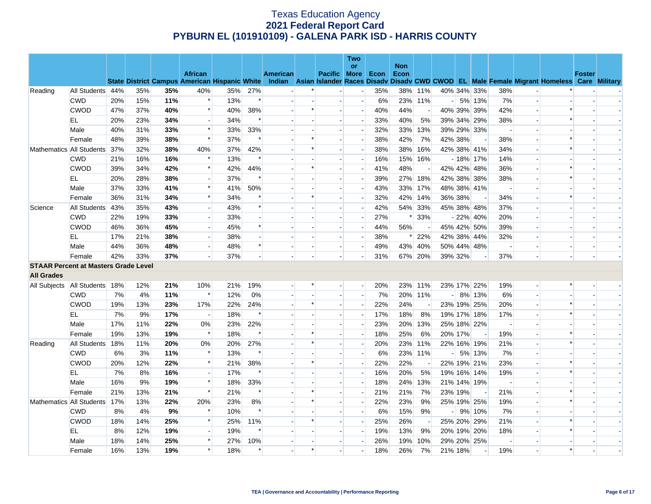|                                             |                  |     |     |     |                                                      |     |                          |          |                          |                          | Two                      |      |                    |                          |                |         |             |                          |                          |                                                                                                  |               |  |
|---------------------------------------------|------------------|-----|-----|-----|------------------------------------------------------|-----|--------------------------|----------|--------------------------|--------------------------|--------------------------|------|--------------------|--------------------------|----------------|---------|-------------|--------------------------|--------------------------|--------------------------------------------------------------------------------------------------|---------------|--|
|                                             |                  |     |     |     | <b>African</b>                                       |     |                          | American |                          | <b>Pacific More</b>      | or                       | Econ | <b>Non</b><br>Econ |                          |                |         |             |                          |                          |                                                                                                  | <b>Foster</b> |  |
|                                             |                  |     |     |     | <b>State District Campus American Hispanic White</b> |     |                          |          |                          |                          |                          |      |                    |                          |                |         |             |                          |                          | Indian Asian Islander Races Disady Disady CWD CWOD EL Male Female Migrant Homeless Care Military |               |  |
| Reading                                     | All Students 44% |     | 35% | 35% | 40%                                                  | 35% | 27%                      |          |                          |                          | $\overline{\phantom{0}}$ | 35%  |                    | 38% 11%                  |                |         | 40% 34% 33% | 38%                      |                          |                                                                                                  |               |  |
|                                             | <b>CWD</b>       | 20% | 15% | 11% | $\ast$                                               | 13% | $\ast$                   |          |                          |                          | $\overline{\phantom{a}}$ | 6%   |                    | 23% 11%                  | $\overline{a}$ |         | 5% 13%      | 7%                       |                          |                                                                                                  |               |  |
|                                             | <b>CWOD</b>      | 47% | 37% | 40% | $\ast$                                               | 40% | 38%                      |          | $\ast$                   |                          |                          | 40%  | 44%                |                          |                |         | 40% 39% 39% | 42%                      |                          |                                                                                                  |               |  |
|                                             | EL               | 20% | 23% | 34% | $\overline{a}$                                       | 34% | $\ast$                   |          | $\overline{\phantom{a}}$ | $\overline{\phantom{a}}$ | $\overline{\phantom{a}}$ | 33%  | 40%                | 5%                       |                |         | 39% 34% 29% | 38%                      | $\overline{\phantom{a}}$ | $\ast$                                                                                           |               |  |
|                                             | Male             | 40% | 31% | 33% | $\ast$                                               | 33% | 33%                      |          |                          |                          | $\overline{a}$           | 32%  | 33%                | 13%                      |                |         | 39% 29% 33% |                          |                          |                                                                                                  |               |  |
|                                             | Female           | 48% | 39% | 38% | $\ast$                                               | 37% | $\ast$                   |          | $\ast$                   | $\overline{\phantom{a}}$ | $\overline{\phantom{a}}$ | 38%  | 42%                | 7%                       |                | 42% 38% |             | 38%                      | $\overline{\phantom{a}}$ | $\ast$                                                                                           |               |  |
| Mathematics All Students                    |                  | 37% | 32% | 38% | 40%                                                  | 37% | 42%                      |          |                          |                          | $\overline{\phantom{a}}$ | 38%  | 38%                | 16%                      |                |         | 42% 38% 41% | 34%                      |                          |                                                                                                  |               |  |
|                                             | <b>CWD</b>       | 21% | 16% | 16% | $\ast$                                               | 13% | $\ast$                   |          |                          |                          |                          | 16%  |                    | 15% 16%                  |                |         | $-18\%$ 17% | 14%                      |                          |                                                                                                  |               |  |
|                                             | <b>CWOD</b>      | 39% | 34% | 42% | $\ast$                                               | 42% | 44%                      |          | ∗                        | $\overline{\phantom{a}}$ | $\overline{\phantom{a}}$ | 41%  | 48%                | $\blacksquare$           |                |         | 42% 42% 48% | 36%                      | $\overline{a}$           | ∗                                                                                                |               |  |
|                                             | EL               | 20% | 28% | 38% | $\overline{\phantom{a}}$                             | 37% | $\ast$                   |          |                          |                          | $\overline{\phantom{a}}$ | 39%  |                    | 27% 18%                  |                |         | 42% 38% 38% | 38%                      |                          |                                                                                                  |               |  |
|                                             | Male             | 37% | 33% | 41% | $\ast$                                               | 41% | 50%                      |          |                          | $\overline{a}$           | $\overline{\phantom{a}}$ | 43%  | 33%                | 17%                      |                |         | 48% 38% 41% | $\overline{\phantom{a}}$ | $\overline{\phantom{a}}$ |                                                                                                  |               |  |
|                                             | Female           | 36% | 31% | 34% | $\ast$                                               | 34% |                          |          | $\ast$                   |                          | $\overline{\phantom{a}}$ | 32%  | 42%                | 14%                      |                | 36% 38% |             | 34%                      |                          |                                                                                                  |               |  |
| Science                                     | All Students     | 43% | 35% | 43% | $\overline{\phantom{a}}$                             | 43% | $\ast$                   |          |                          |                          |                          | 42%  | 54%                | 33%                      |                |         | 45% 38% 48% | 37%                      |                          |                                                                                                  |               |  |
|                                             | <b>CWD</b>       | 22% | 19% | 33% | $\overline{a}$                                       | 33% | $\overline{\phantom{a}}$ |          |                          | $\overline{\phantom{a}}$ | $\overline{\phantom{a}}$ | 27%  | ∗                  | 33%                      |                |         | $-22\%$ 40% | 20%                      | $\overline{\phantom{a}}$ |                                                                                                  |               |  |
|                                             | <b>CWOD</b>      | 46% | 36% | 45% | $\overline{\phantom{a}}$                             | 45% | $\ast$                   |          |                          |                          | $\overline{\phantom{a}}$ | 44%  | 56%                |                          |                |         | 45% 42% 50% | 39%                      |                          |                                                                                                  |               |  |
|                                             | EL               | 17% | 21% | 38% | $\overline{\phantom{a}}$                             | 38% |                          |          |                          |                          | $\overline{\phantom{a}}$ | 38%  |                    | 22%                      |                |         | 42% 38% 44% | 32%                      |                          |                                                                                                  |               |  |
|                                             | Male             | 44% | 36% | 48% | $\overline{\phantom{a}}$                             | 48% | $\ast$                   |          |                          | $\overline{\phantom{a}}$ | $\overline{a}$           | 49%  |                    | 43% 40%                  |                |         | 50% 44% 48% | $\overline{\phantom{a}}$ | $\overline{\phantom{a}}$ |                                                                                                  |               |  |
|                                             | Female           | 42% | 33% | 37% |                                                      | 37% |                          |          |                          |                          |                          | 31%  |                    | 67% 20%                  |                | 39% 32% |             | 37%                      |                          |                                                                                                  |               |  |
| <b>STAAR Percent at Masters Grade Level</b> |                  |     |     |     |                                                      |     |                          |          |                          |                          |                          |      |                    |                          |                |         |             |                          |                          |                                                                                                  |               |  |
| <b>All Grades</b>                           |                  |     |     |     |                                                      |     |                          |          |                          |                          |                          |      |                    |                          |                |         |             |                          |                          |                                                                                                  |               |  |
| All Subjects   All Students   18%           |                  |     | 12% | 21% | 10%                                                  | 21% | 19%                      |          | $\ast$                   | $\overline{\phantom{a}}$ | $-$                      | 20%  |                    | 23% 11%                  |                |         | 23% 17% 22% | 19%                      | $\overline{a}$           |                                                                                                  |               |  |
|                                             | <b>CWD</b>       | 7%  | 4%  | 11% | $\ast$                                               | 12% | 0%                       |          |                          |                          | $\overline{\phantom{a}}$ | 7%   |                    | 20% 11%                  | $-1$           |         | 8% 13%      | 6%                       | $\blacksquare$           |                                                                                                  |               |  |
|                                             | <b>CWOD</b>      | 19% | 13% | 23% | 17%                                                  | 22% | 24%                      |          | $\ast$                   | $\overline{a}$           | $\overline{\phantom{a}}$ | 22%  | 24%                | $\overline{\phantom{a}}$ |                |         | 23% 19% 25% | 20%                      | $\overline{a}$           |                                                                                                  |               |  |
|                                             | EL               | 7%  | 9%  | 17% | $\overline{\phantom{a}}$                             | 18% | $\ast$                   |          | $\overline{\phantom{a}}$ | $\overline{\phantom{a}}$ | $\overline{\phantom{a}}$ | 17%  | 18%                | 8%                       |                |         | 19% 17% 18% | 17%                      | $\overline{\phantom{a}}$ | $\ast$                                                                                           |               |  |
|                                             | Male             | 17% | 11% | 22% | 0%                                                   | 23% | 22%                      |          |                          |                          | $\overline{\phantom{a}}$ | 23%  | 20%                | 13%                      |                |         | 25% 18% 22% |                          |                          |                                                                                                  |               |  |
|                                             | Female           | 19% | 13% | 19% | $\ast$                                               | 18% | $\ast$                   |          | $\ast$                   | $\overline{a}$           | $\overline{\phantom{a}}$ | 18%  | 25%                | 6%                       |                | 20% 17% |             | 19%                      | $\overline{a}$           |                                                                                                  |               |  |
| Reading                                     | All Students     | 18% | 11% | 20% | 0%                                                   | 20% | 27%                      |          | $\ast$                   | $\overline{\phantom{a}}$ | $\overline{\phantom{a}}$ | 20%  |                    | 23% 11%                  |                |         | 22% 16% 19% | 21%                      | $\overline{\phantom{a}}$ |                                                                                                  |               |  |
|                                             | <b>CWD</b>       | 6%  | 3%  | 11% | $\ast$                                               | 13% | $\ast$                   |          |                          |                          |                          | 6%   | 23%                | 11%                      |                |         | 5% 13%      | 7%                       |                          |                                                                                                  |               |  |
|                                             | <b>CWOD</b>      | 20% | 12% | 22% | $\ast$                                               | 21% | 38%                      |          | ∗                        | $\blacksquare$           | $\blacksquare$           | 22%  | 22%                |                          |                |         | 22% 19% 21% | 23%                      | $\overline{\phantom{a}}$ |                                                                                                  |               |  |
|                                             | EL               | 7%  | 8%  | 16% | $\overline{\phantom{a}}$                             | 17% | $\ast$                   |          |                          |                          | $\overline{\phantom{a}}$ | 16%  | 20%                | 5%                       |                |         | 19% 16% 14% | 19%                      |                          |                                                                                                  |               |  |
|                                             | Male             | 16% | 9%  | 19% | $\ast$                                               | 18% | 33%                      |          |                          | $\overline{a}$           | $\overline{a}$           | 18%  | 24%                | 13%                      |                |         | 21% 14% 19% | $\overline{\phantom{a}}$ | $\overline{a}$           |                                                                                                  |               |  |
|                                             | Female           | 21% | 13% | 21% | $\ast$                                               | 21% | $\ast$                   |          | $\ast$                   |                          | $\overline{\phantom{a}}$ | 21%  | 21%                | 7%                       |                | 23% 19% |             | 21%                      | $\overline{\phantom{a}}$ |                                                                                                  |               |  |
| Mathematics All Students                    |                  | 17% | 13% | 22% | 20%                                                  | 23% | 8%                       |          | $\ast$                   |                          | $\overline{a}$           | 22%  | 23%                | 9%                       |                |         | 25% 19% 25% | 19%                      | $\overline{a}$           |                                                                                                  |               |  |
|                                             | <b>CWD</b>       | 8%  | 4%  | 9%  | $\ast$                                               | 10% | $\ast$                   |          |                          | $\overline{\phantom{a}}$ | $\overline{\phantom{a}}$ | 6%   | 15%                | 9%                       |                |         | 9% 10%      | 7%                       | $\overline{a}$           |                                                                                                  |               |  |
|                                             | <b>CWOD</b>      | 18% | 14% | 25% | $\ast$                                               | 25% | 11%                      |          | $\ast$                   |                          | $\overline{\phantom{a}}$ | 25%  | 26%                |                          |                |         | 25% 20% 29% | 21%                      |                          |                                                                                                  |               |  |
|                                             | EL               | 8%  | 12% | 19% | $\sim$                                               | 19% | $\ast$                   |          |                          | $\overline{a}$           | н.                       | 19%  | 13%                | 9%                       |                |         | 20% 19% 20% | 18%                      | $\overline{\phantom{a}}$ |                                                                                                  |               |  |
|                                             | Male             | 18% | 14% | 25% | $\ast$                                               | 27% | 10%                      |          |                          |                          | $\blacksquare$           | 26%  | 19%                | 10%                      |                |         | 29% 20% 25% |                          |                          |                                                                                                  |               |  |
|                                             | Female           | 16% | 13% | 19% | $\ast$                                               | 18% | $\ast$                   |          | $\ast$                   |                          |                          | 18%  | 26%                | 7%                       |                | 21% 18% |             | 19%                      |                          |                                                                                                  |               |  |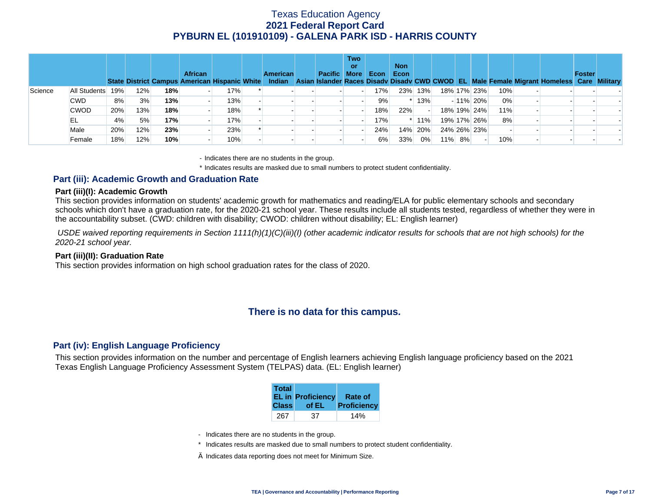|         |              |     |     |     | <b>African</b><br><b>State District Campus American Hispanic White</b> |     | <b>American</b> | <b>Pacific More</b> | <b>Two</b><br>or | Econ | <b>Non</b><br>Econ |         |        |             |     | Indian Asian Islander Races Disady Disady CWD CWOD EL Male Female Migrant Homeless Care Military | Foster |  |
|---------|--------------|-----|-----|-----|------------------------------------------------------------------------|-----|-----------------|---------------------|------------------|------|--------------------|---------|--------|-------------|-----|--------------------------------------------------------------------------------------------------|--------|--|
| Science | All Students | 19% | 12% | 18% |                                                                        | 17% |                 |                     |                  | 17%  |                    | 23% 13% |        | 18% 17% 23% | 10% |                                                                                                  |        |  |
|         | CWD.         | 8%  | 3%  | 13% |                                                                        | 13% |                 |                     |                  | 9%   |                    | $*13%$  |        | $-11\%$ 20% | 0%  |                                                                                                  |        |  |
|         | <b>CWOD</b>  | 20% | 13% | 18% |                                                                        | 18% |                 |                     |                  | 18%  | 22%                |         |        | 18% 19% 24% | 11% |                                                                                                  |        |  |
|         | EL           | 4%  | 5%  | 17% |                                                                        | 17% |                 |                     |                  | 17%  |                    | $*11\%$ |        | 19% 17% 26% | 8%  |                                                                                                  |        |  |
|         | Male         | 20% | 12% | 23% |                                                                        | 23% |                 |                     |                  | 24%  | 14%                | 20%     |        | 24% 26% 23% |     |                                                                                                  |        |  |
|         | Female       | 18% | 12% | 10% |                                                                        | 10% |                 |                     |                  | 6%   | 33%                | 0%      | 11% 8% |             | 10% |                                                                                                  |        |  |

- Indicates there are no students in the group.

\* Indicates results are masked due to small numbers to protect student confidentiality.

### **Part (iii): Academic Growth and Graduation Rate**

#### **Part (iii)(I): Academic Growth**

This section provides information on students' academic growth for mathematics and reading/ELA for public elementary schools and secondary schools which don't have a graduation rate, for the 2020-21 school year. These results include all students tested, regardless of whether they were in the accountability subset. (CWD: children with disability; CWOD: children without disability; EL: English learner)

 *USDE waived reporting requirements in Section 1111(h)(1)(C)(iii)(I) (other academic indicator results for schools that are not high schools) for the 2020-21 school year.* 

#### **Part (iii)(II): Graduation Rate**

This section provides information on high school graduation rates for the class of 2020.

## **There is no data for this campus.**

### **Part (iv): English Language Proficiency**

This section provides information on the number and percentage of English learners achieving English language proficiency based on the 2021 Texas English Language Proficiency Assessment System (TELPAS) data. (EL: English learner)

| <b>Total</b> | <b>EL in Proficiency</b> | <b>Rate of</b> |
|--------------|--------------------------|----------------|
| <b>Class</b> | of EL                    | Proficiency    |
| 267          | 37                       |                |

- Indicates there are no students in the group.
- \* Indicates results are masked due to small numbers to protect student confidentiality.
- $\diamond$  Indicates data reporting does not meet for Minimum Size.